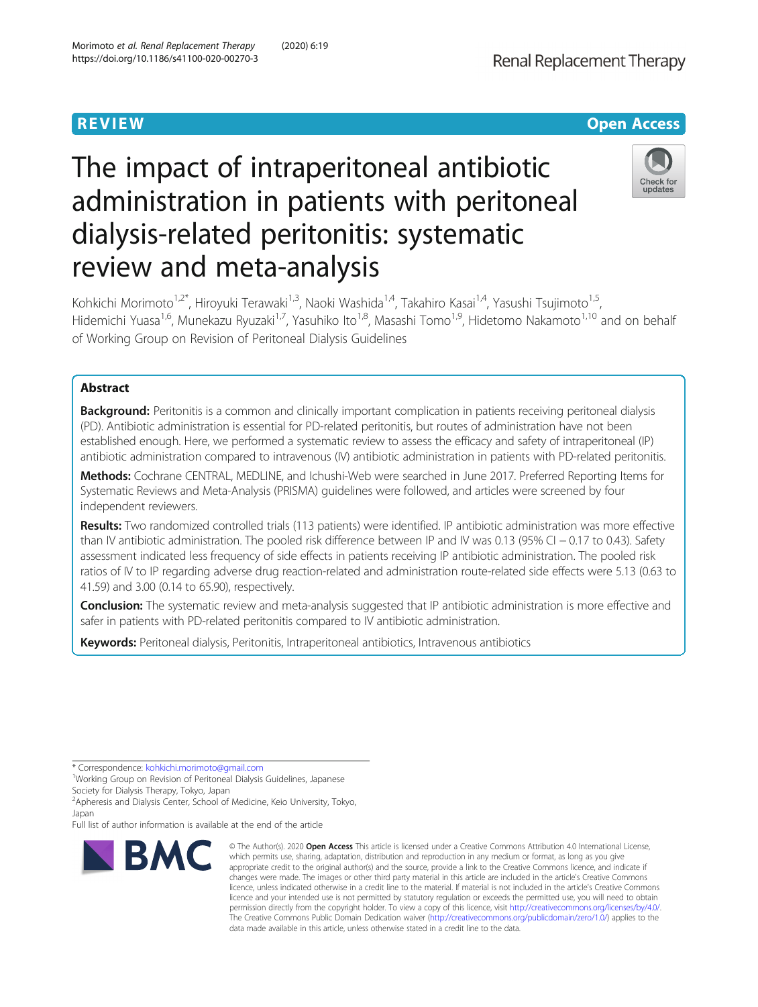The impact of intraperitoneal antibiotic

dialysis-related peritonitis: systematic

administration in patients with peritoneal

# **REVIEW ACCESS AND LOCAL CONTRACT CONTRACT OF ACCESS**

# Check for updates

review and meta-analysis Kohkichi Morimoto<sup>1,2\*</sup>, Hiroyuki Terawaki<sup>1,3</sup>, Naoki Washida<sup>1,4</sup>, Takahiro Kasai<sup>1,4</sup>, Yasushi Tsujimoto<sup>1,5</sup>, Hidemichi Yuasa<sup>1,6</sup>, Munekazu Ryuzaki<sup>1,7</sup>, Yasuhiko Ito<sup>1,8</sup>, Masashi Tomo<sup>1,9</sup>, Hidetomo Nakamoto<sup>1,10</sup> and on behalf of Working Group on Revision of Peritoneal Dialysis Guidelines

# Abstract

Background: Peritonitis is a common and clinically important complication in patients receiving peritoneal dialysis (PD). Antibiotic administration is essential for PD-related peritonitis, but routes of administration have not been established enough. Here, we performed a systematic review to assess the efficacy and safety of intraperitoneal (IP) antibiotic administration compared to intravenous (IV) antibiotic administration in patients with PD-related peritonitis.

Methods: Cochrane CENTRAL, MEDLINE, and Ichushi-Web were searched in June 2017. Preferred Reporting Items for Systematic Reviews and Meta-Analysis (PRISMA) guidelines were followed, and articles were screened by four independent reviewers.

Results: Two randomized controlled trials (113 patients) were identified. IP antibiotic administration was more effective than IV antibiotic administration. The pooled risk difference between IP and IV was 0.13 (95% CI − 0.17 to 0.43). Safety assessment indicated less frequency of side effects in patients receiving IP antibiotic administration. The pooled risk ratios of IV to IP regarding adverse drug reaction-related and administration route-related side effects were 5.13 (0.63 to 41.59) and 3.00 (0.14 to 65.90), respectively.

Conclusion: The systematic review and meta-analysis suggested that IP antibiotic administration is more effective and safer in patients with PD-related peritonitis compared to IV antibiotic administration.

Keywords: Peritoneal dialysis, Peritonitis, Intraperitoneal antibiotics, Intravenous antibiotics

\* Correspondence: [kohkichi.morimoto@gmail.com](mailto:kohkichi.morimoto@gmail.com) <sup>1</sup>

<sup>1</sup>Working Group on Revision of Peritoneal Dialysis Guidelines, Japanese Society for Dialysis Therapy, Tokyo, Japan

<sup>2</sup> Apheresis and Dialysis Center, School of Medicine, Keio University, Tokyo, Japan

Full list of author information is available at the end of the article



<sup>©</sup> The Author(s), 2020 **Open Access** This article is licensed under a Creative Commons Attribution 4.0 International License, which permits use, sharing, adaptation, distribution and reproduction in any medium or format, as long as you give appropriate credit to the original author(s) and the source, provide a link to the Creative Commons licence, and indicate if changes were made. The images or other third party material in this article are included in the article's Creative Commons licence, unless indicated otherwise in a credit line to the material. If material is not included in the article's Creative Commons licence and your intended use is not permitted by statutory regulation or exceeds the permitted use, you will need to obtain permission directly from the copyright holder. To view a copy of this licence, visit [http://creativecommons.org/licenses/by/4.0/.](http://creativecommons.org/licenses/by/4.0/) The Creative Commons Public Domain Dedication waiver [\(http://creativecommons.org/publicdomain/zero/1.0/](http://creativecommons.org/publicdomain/zero/1.0/)) applies to the data made available in this article, unless otherwise stated in a credit line to the data.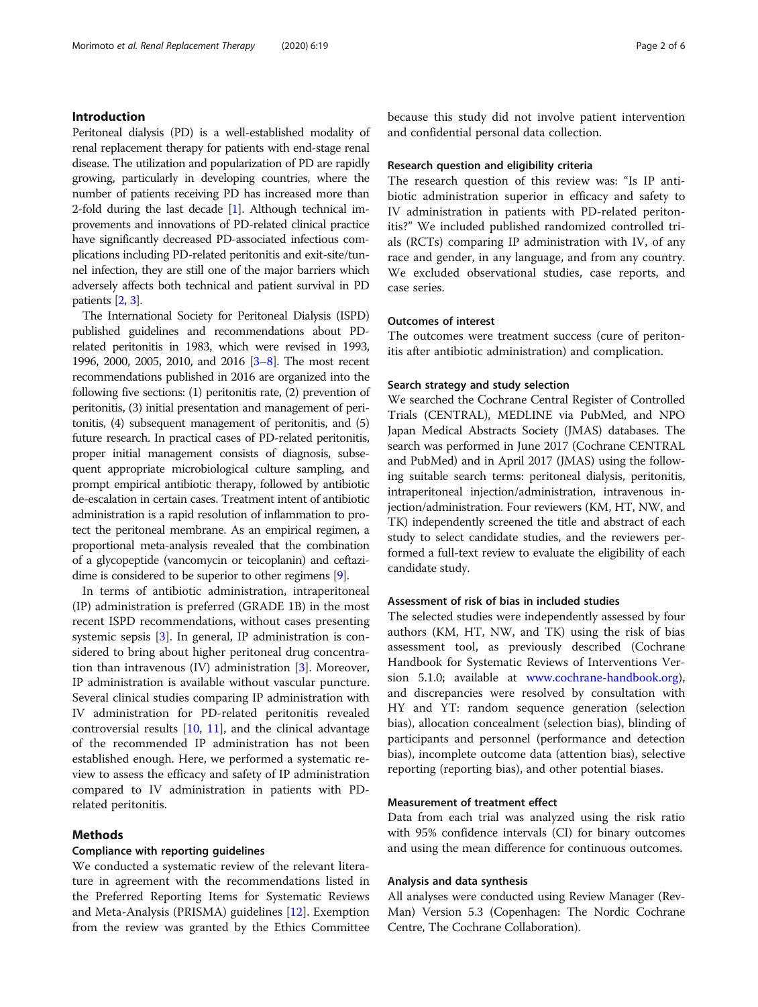# Introduction

Peritoneal dialysis (PD) is a well-established modality of renal replacement therapy for patients with end-stage renal disease. The utilization and popularization of PD are rapidly growing, particularly in developing countries, where the number of patients receiving PD has increased more than 2-fold during the last decade [\[1\]](#page-4-0). Although technical improvements and innovations of PD-related clinical practice have significantly decreased PD-associated infectious complications including PD-related peritonitis and exit-site/tunnel infection, they are still one of the major barriers which adversely affects both technical and patient survival in PD patients [\[2,](#page-4-0) [3\]](#page-4-0).

The International Society for Peritoneal Dialysis (ISPD) published guidelines and recommendations about PDrelated peritonitis in 1983, which were revised in 1993, 1996, 2000, 2005, 2010, and 2016 [\[3](#page-4-0)–[8](#page-4-0)]. The most recent recommendations published in 2016 are organized into the following five sections: (1) peritonitis rate, (2) prevention of peritonitis, (3) initial presentation and management of peritonitis, (4) subsequent management of peritonitis, and (5) future research. In practical cases of PD-related peritonitis, proper initial management consists of diagnosis, subsequent appropriate microbiological culture sampling, and prompt empirical antibiotic therapy, followed by antibiotic de-escalation in certain cases. Treatment intent of antibiotic administration is a rapid resolution of inflammation to protect the peritoneal membrane. As an empirical regimen, a proportional meta-analysis revealed that the combination of a glycopeptide (vancomycin or teicoplanin) and ceftazidime is considered to be superior to other regimens [\[9\]](#page-4-0).

In terms of antibiotic administration, intraperitoneal (IP) administration is preferred (GRADE 1B) in the most recent ISPD recommendations, without cases presenting systemic sepsis [\[3](#page-4-0)]. In general, IP administration is considered to bring about higher peritoneal drug concentration than intravenous (IV) administration [[3\]](#page-4-0). Moreover, IP administration is available without vascular puncture. Several clinical studies comparing IP administration with IV administration for PD-related peritonitis revealed controversial results [[10,](#page-5-0) [11\]](#page-5-0), and the clinical advantage of the recommended IP administration has not been established enough. Here, we performed a systematic review to assess the efficacy and safety of IP administration compared to IV administration in patients with PDrelated peritonitis.

# Methods

# Compliance with reporting guidelines

We conducted a systematic review of the relevant literature in agreement with the recommendations listed in the Preferred Reporting Items for Systematic Reviews and Meta-Analysis (PRISMA) guidelines [\[12\]](#page-5-0). Exemption from the review was granted by the Ethics Committee because this study did not involve patient intervention and confidential personal data collection.

# Research question and eligibility criteria

The research question of this review was: "Is IP antibiotic administration superior in efficacy and safety to IV administration in patients with PD-related peritonitis?" We included published randomized controlled trials (RCTs) comparing IP administration with IV, of any race and gender, in any language, and from any country. We excluded observational studies, case reports, and case series.

### Outcomes of interest

The outcomes were treatment success (cure of peritonitis after antibiotic administration) and complication.

# Search strategy and study selection

We searched the Cochrane Central Register of Controlled Trials (CENTRAL), MEDLINE via PubMed, and NPO Japan Medical Abstracts Society (JMAS) databases. The search was performed in June 2017 (Cochrane CENTRAL and PubMed) and in April 2017 (JMAS) using the following suitable search terms: peritoneal dialysis, peritonitis, intraperitoneal injection/administration, intravenous injection/administration. Four reviewers (KM, HT, NW, and TK) independently screened the title and abstract of each study to select candidate studies, and the reviewers performed a full-text review to evaluate the eligibility of each candidate study.

# Assessment of risk of bias in included studies

The selected studies were independently assessed by four authors (KM, HT, NW, and TK) using the risk of bias assessment tool, as previously described (Cochrane Handbook for Systematic Reviews of Interventions Version 5.1.0; available at [www.cochrane-handbook.org](http://www.cochrane-handbook.org)), and discrepancies were resolved by consultation with HY and YT: random sequence generation (selection bias), allocation concealment (selection bias), blinding of participants and personnel (performance and detection bias), incomplete outcome data (attention bias), selective reporting (reporting bias), and other potential biases.

# Measurement of treatment effect

Data from each trial was analyzed using the risk ratio with 95% confidence intervals (CI) for binary outcomes and using the mean difference for continuous outcomes.

# Analysis and data synthesis

All analyses were conducted using Review Manager (Rev-Man) Version 5.3 (Copenhagen: The Nordic Cochrane Centre, The Cochrane Collaboration).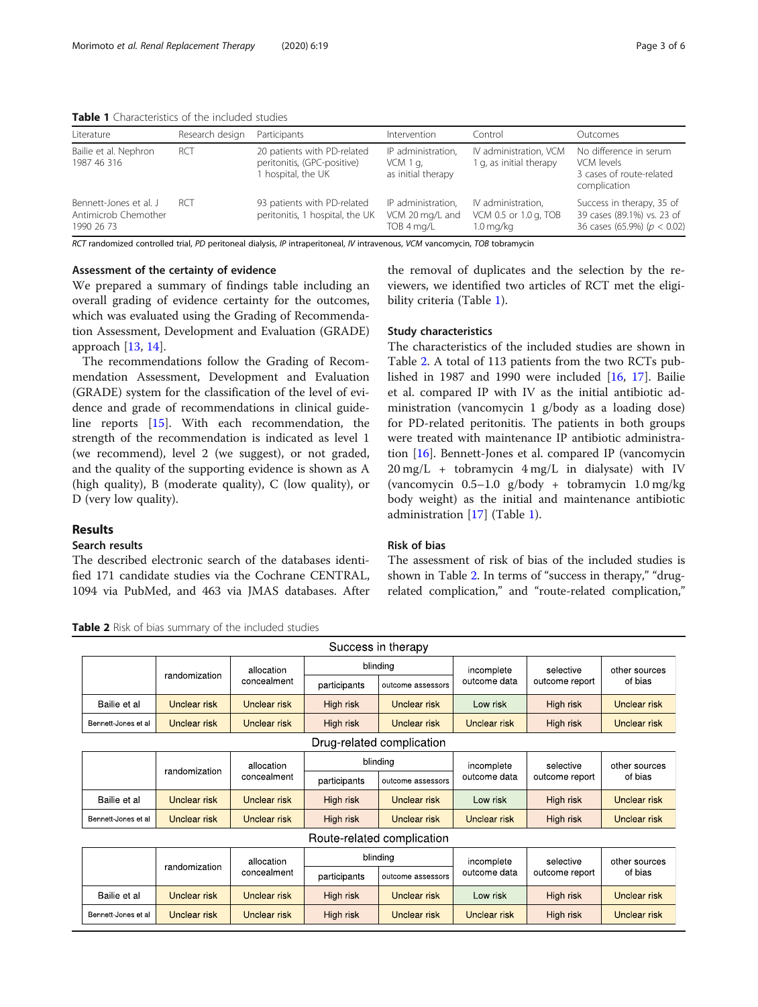| Literature                                                   | Research design | Participants                                                                     | Intervention                                         | Control                                                               | Outcomes                                                                                   |  |
|--------------------------------------------------------------|-----------------|----------------------------------------------------------------------------------|------------------------------------------------------|-----------------------------------------------------------------------|--------------------------------------------------------------------------------------------|--|
| Bailie et al. Nephron<br>1987 46 316                         | <b>RCT</b>      | 20 patients with PD-related<br>peritonitis, (GPC-positive)<br>1 hospital, the UK | IP administration,<br>VCM 1 g,<br>as initial therapy | IV administration, VCM<br>1 g, as initial therapy                     | No difference in serum<br>VCM levels<br>3 cases of route-related<br>complication           |  |
| Bennett-Jones et al. J<br>Antimicrob Chemother<br>1990 26 73 | <b>RCT</b>      | 93 patients with PD-related<br>peritonitis, 1 hospital, the UK                   | IP administration,<br>VCM 20 mg/L and<br>TOB 4 mg/L  | IV administration,<br>VCM 0.5 or 1.0 g, TOB<br>$1.0 \,\mathrm{mq/kg}$ | Success in therapy, 35 of<br>39 cases (89.1%) vs. 23 of<br>36 cases (65.9%) ( $p < 0.02$ ) |  |

RCT randomized controlled trial, PD peritoneal dialysis, IP intraperitoneal, IV intravenous, VCM vancomycin, TOB tobramycin

# Assessment of the certainty of evidence

We prepared a summary of findings table including an overall grading of evidence certainty for the outcomes, which was evaluated using the Grading of Recommendation Assessment, Development and Evaluation (GRADE) approach [[13](#page-5-0), [14](#page-5-0)].

The recommendations follow the Grading of Recommendation Assessment, Development and Evaluation (GRADE) system for the classification of the level of evidence and grade of recommendations in clinical guideline reports [[15](#page-5-0)]. With each recommendation, the strength of the recommendation is indicated as level 1 (we recommend), level 2 (we suggest), or not graded, and the quality of the supporting evidence is shown as A (high quality), B (moderate quality), C (low quality), or D (very low quality).

# Results

# Search results

The described electronic search of the databases identified 171 candidate studies via the Cochrane CENTRAL, 1094 via PubMed, and 463 via JMAS databases. After

Table 2 Risk of bias summary of the included studies

the removal of duplicates and the selection by the reviewers, we identified two articles of RCT met the eligibility criteria (Table 1).

# Study characteristics

The characteristics of the included studies are shown in Table 2. A total of 113 patients from the two RCTs published in 1987 and 1990 were included [\[16,](#page-5-0) [17](#page-5-0)]. Bailie et al. compared IP with IV as the initial antibiotic administration (vancomycin 1 g/body as a loading dose) for PD-related peritonitis. The patients in both groups were treated with maintenance IP antibiotic administration [[16](#page-5-0)]. Bennett-Jones et al. compared IP (vancomycin  $20 \text{ mg/L}$  + tobramycin  $4 \text{ mg/L}$  in dialysate) with IV (vancomycin 0.5–1.0 g/body + tobramycin 1.0 mg/kg body weight) as the initial and maintenance antibiotic administration [\[17](#page-5-0)] (Table 1).

# Risk of bias

The assessment of risk of bias of the included studies is shown in Table 2. In terms of "success in therapy," "drugrelated complication," and "route-related complication,"

Success in therapy blindina allocation incomplete selective other sources randomization concealment outcome data outcome report of bias outcome assessors participants Bailie et al **Unclear risk Unclear risk** High risk **Unclear risk** Low risk High risk **Unclear risk** Unclear risk **Unclear risk** Bennett-Jones et al. Unclear risk High risk **Unclear risk** High risk **Unclear risk** Drug-related complication blinding allocation incomplete selective other sources randomization concealment outcome data of bias outcome report participants outcome assessors Bailie et al **Unclear risk Unclear risk Unclear risk** Low risk **Unclear risk** High risk High risk Bennett-Jones et al **Unclear risk Unclear risk** High risk **Unclear risk Unclear risk** High risk **Unclear risk** Route-related complication

|                     | randomization | allocation<br>concealment | blinding     |                   | incomplete   | selective        | other sources |
|---------------------|---------------|---------------------------|--------------|-------------------|--------------|------------------|---------------|
|                     |               |                           | participants | outcome assessors | outcome data | outcome report   | of bias       |
| Bailie et al        | Unclear risk  | Unclear risk              | High risk    | Unclear risk      | Low risk     | High risk        | Unclear risk  |
| Bennett-Jones et al | Unclear risk  | Unclear risk              | High risk    | Unclear risk      | Unclear risk | <b>High risk</b> | Unclear risk  |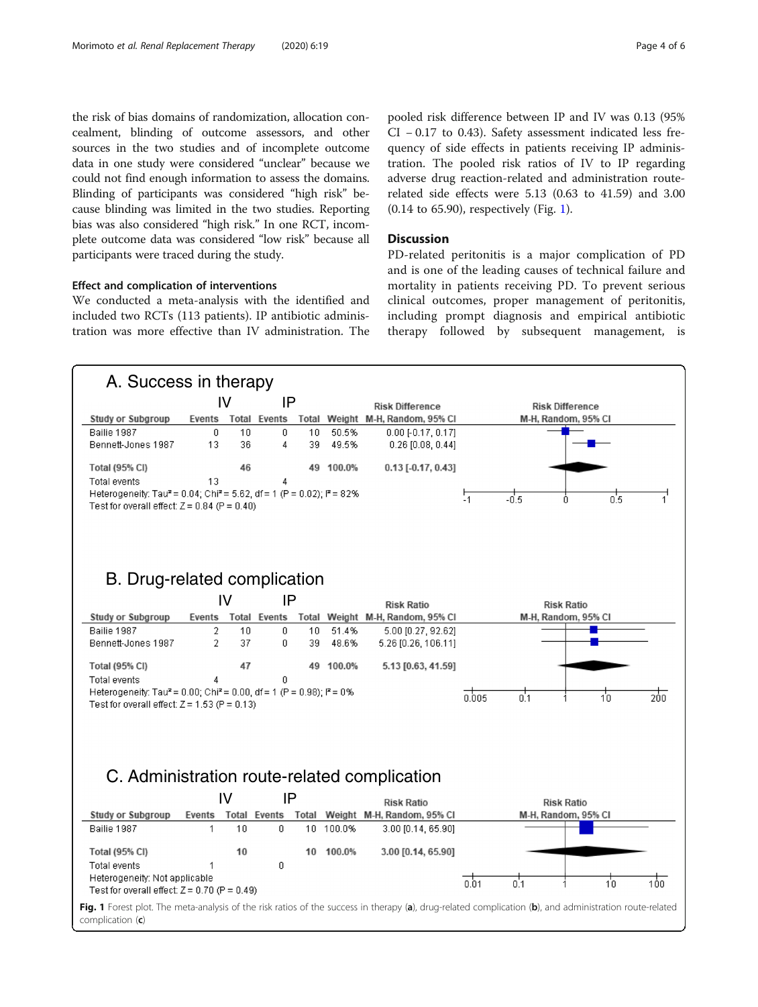<span id="page-3-0"></span>the risk of bias domains of randomization, allocation concealment, blinding of outcome assessors, and other sources in the two studies and of incomplete outcome data in one study were considered "unclear" because we could not find enough information to assess the domains. Blinding of participants was considered "high risk" because blinding was limited in the two studies. Reporting bias was also considered "high risk." In one RCT, incomplete outcome data was considered "low risk" because all participants were traced during the study.

# Effect and complication of interventions

We conducted a meta-analysis with the identified and included two RCTs (113 patients). IP antibiotic administration was more effective than IV administration. The pooled risk difference between IP and IV was 0.13 (95% CI − 0.17 to 0.43). Safety assessment indicated less frequency of side effects in patients receiving IP administration. The pooled risk ratios of IV to IP regarding adverse drug reaction-related and administration routerelated side effects were 5.13 (0.63 to 41.59) and 3.00 (0.14 to 65.90), respectively (Fig. 1).

# Discussion

PD-related peritonitis is a major complication of PD and is one of the leading causes of technical failure and mortality in patients receiving PD. To prevent serious clinical outcomes, proper management of peritonitis, including prompt diagnosis and empirical antibiotic therapy followed by subsequent management, is

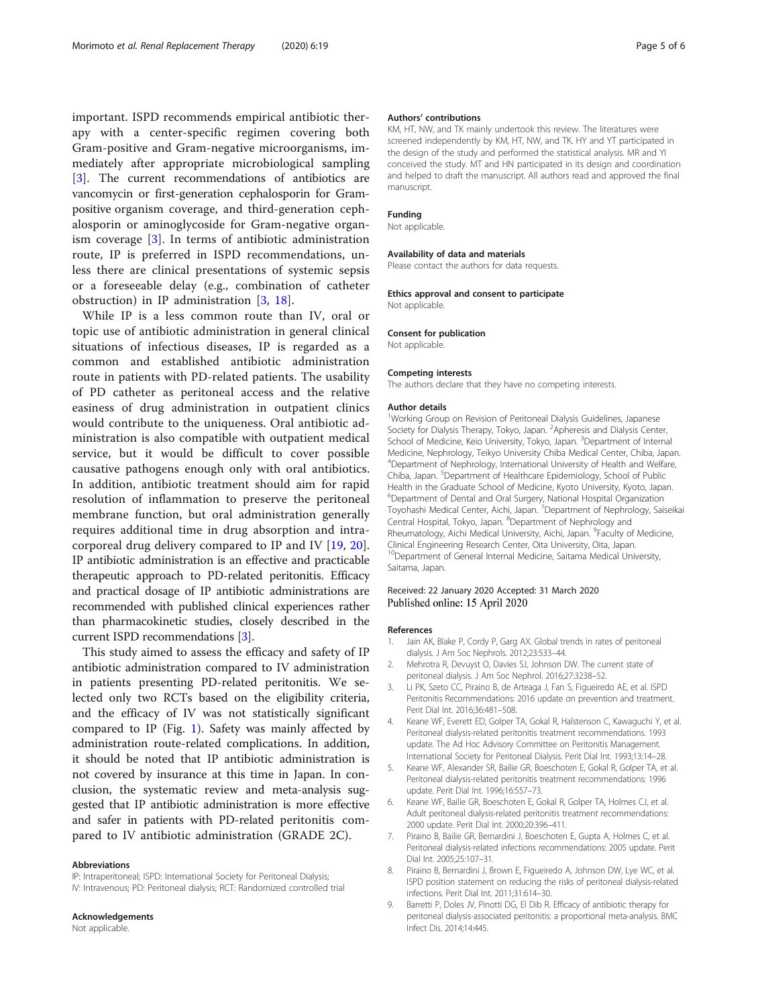<span id="page-4-0"></span>important. ISPD recommends empirical antibiotic therapy with a center-specific regimen covering both Gram-positive and Gram-negative microorganisms, immediately after appropriate microbiological sampling [3]. The current recommendations of antibiotics are vancomycin or first-generation cephalosporin for Grampositive organism coverage, and third-generation cephalosporin or aminoglycoside for Gram-negative organism coverage [3]. In terms of antibiotic administration route, IP is preferred in ISPD recommendations, unless there are clinical presentations of systemic sepsis or a foreseeable delay (e.g., combination of catheter obstruction) in IP administration [3, [18\]](#page-5-0).

While IP is a less common route than IV, oral or topic use of antibiotic administration in general clinical situations of infectious diseases, IP is regarded as a common and established antibiotic administration route in patients with PD-related patients. The usability of PD catheter as peritoneal access and the relative easiness of drug administration in outpatient clinics would contribute to the uniqueness. Oral antibiotic administration is also compatible with outpatient medical service, but it would be difficult to cover possible causative pathogens enough only with oral antibiotics. In addition, antibiotic treatment should aim for rapid resolution of inflammation to preserve the peritoneal membrane function, but oral administration generally requires additional time in drug absorption and intracorporeal drug delivery compared to IP and IV [[19,](#page-5-0) [20](#page-5-0)]. IP antibiotic administration is an effective and practicable therapeutic approach to PD-related peritonitis. Efficacy and practical dosage of IP antibiotic administrations are recommended with published clinical experiences rather than pharmacokinetic studies, closely described in the current ISPD recommendations [3].

This study aimed to assess the efficacy and safety of IP antibiotic administration compared to IV administration in patients presenting PD-related peritonitis. We selected only two RCTs based on the eligibility criteria, and the efficacy of IV was not statistically significant compared to IP (Fig. [1\)](#page-3-0). Safety was mainly affected by administration route-related complications. In addition, it should be noted that IP antibiotic administration is not covered by insurance at this time in Japan. In conclusion, the systematic review and meta-analysis suggested that IP antibiotic administration is more effective and safer in patients with PD-related peritonitis compared to IV antibiotic administration (GRADE 2C).

#### Abbreviations

IP: Intraperitoneal; ISPD: International Society for Peritoneal Dialysis; IV: Intravenous; PD: Peritoneal dialysis; RCT: Randomized controlled trial

#### Acknowledgements

Not applicable.

#### Authors' contributions

KM, HT, NW, and TK mainly undertook this review. The literatures were screened independently by KM, HT, NW, and TK. HY and YT participated in the design of the study and performed the statistical analysis. MR and YI conceived the study. MT and HN participated in its design and coordination and helped to draft the manuscript. All authors read and approved the final manuscript.

#### Funding

Not applicable.

# Availability of data and materials

Please contact the authors for data requests.

#### Ethics approval and consent to participate Not applicable.

Consent for publication

Not applicable.

#### Competing interests

The authors declare that they have no competing interests.

#### Author details

<sup>1</sup>Working Group on Revision of Peritoneal Dialysis Guidelines, Japanese Society for Dialysis Therapy, Tokyo, Japan. <sup>2</sup>Apheresis and Dialysis Center, School of Medicine, Keio University, Tokyo, Japan. <sup>3</sup>Department of Internal Medicine, Nephrology, Teikyo University Chiba Medical Center, Chiba, Japan. 4 Department of Nephrology, International University of Health and Welfare, Chiba, Japan. <sup>5</sup>Department of Healthcare Epidemiology, School of Public Health in the Graduate School of Medicine, Kyoto University, Kyoto, Japan. 6 Department of Dental and Oral Surgery, National Hospital Organization Toyohashi Medical Center, Aichi, Japan. <sup>7</sup> Department of Nephrology, Saiseikai Central Hospital, Tokyo, Japan. <sup>8</sup>Department of Nephrology and Rheumatology, Aichi Medical University, Aichi, Japan. <sup>9</sup>Faculty of Medicine, Clinical Engineering Research Center, Oita University, Oita, Japan. <sup>10</sup>Department of General Internal Medicine, Saitama Medical University, Saitama, Japan.

# Received: 22 January 2020 Accepted: 31 March 2020 Published online: 15 April 2020

#### References

- 1. Jain AK, Blake P, Cordy P, Garg AX. Global trends in rates of peritoneal dialysis. J Am Soc Nephrols. 2012;23:533–44.
- 2. Mehrotra R, Devuyst O, Davies SJ, Johnson DW. The current state of peritoneal dialysis. J Am Soc Nephrol. 2016;27:3238–52.
- 3. Li PK, Szeto CC, Piraino B, de Arteaga J, Fan S, Figueiredo AE, et al. ISPD Peritonitis Recommendations: 2016 update on prevention and treatment. Perit Dial Int. 2016;36:481–508.
- 4. Keane WF, Everett ED, Golper TA, Gokal R, Halstenson C, Kawaguchi Y, et al. Peritoneal dialysis-related peritonitis treatment recommendations. 1993 update. The Ad Hoc Advisory Committee on Peritonitis Management. International Society for Peritoneal Dialysis. Perit Dial Int. 1993;13:14–28.
- 5. Keane WF, Alexander SR, Bailie GR, Boeschoten E, Gokal R, Golper TA, et al. Peritoneal dialysis-related peritonitis treatment recommendations: 1996 update. Perit Dial Int. 1996;16:557–73.
- 6. Keane WF, Bailie GR, Boeschoten E, Gokal R, Golper TA, Holmes CJ, et al. Adult peritoneal dialysis-related peritonitis treatment recommendations: 2000 update. Perit Dial Int. 2000;20:396–411.
- 7. Piraino B, Bailie GR, Bernardini J, Boeschoten E, Gupta A, Holmes C, et al. Peritoneal dialysis-related infections recommendations: 2005 update. Perit Dial Int. 2005;25:107–31.
- 8. Piraino B, Bernardini J, Brown E, Figueiredo A, Johnson DW, Lye WC, et al. ISPD position statement on reducing the risks of peritoneal dialysis-related infections. Perit Dial Int. 2011;31:614–30.
- 9. Barretti P, Doles JV, Pinotti DG, El Dib R. Efficacy of antibiotic therapy for peritoneal dialysis-associated peritonitis: a proportional meta-analysis. BMC Infect Dis. 2014;14:445.